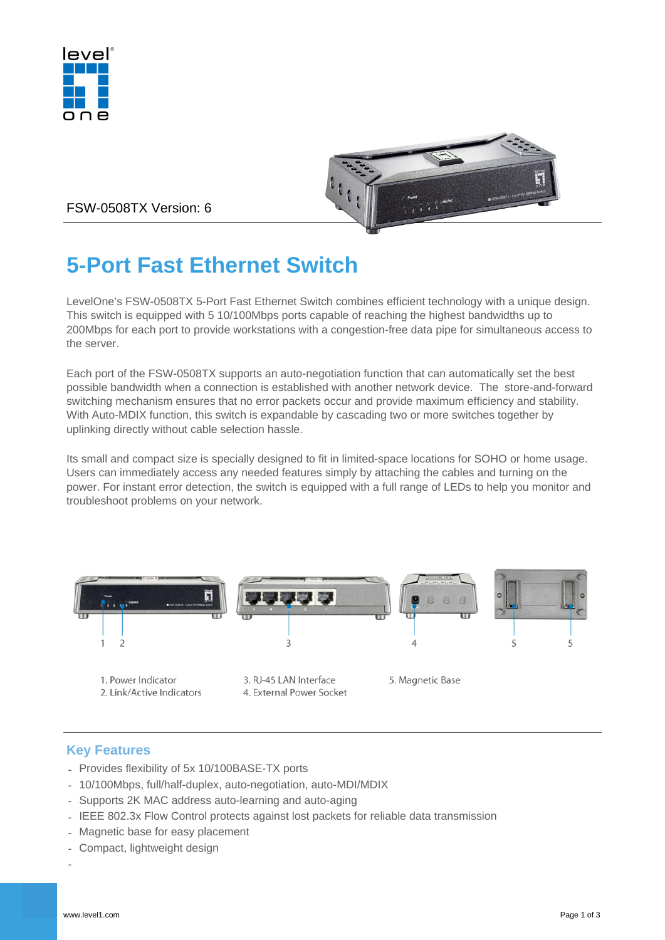



FSW-0508TX Version: 6

# **5-Port Fast Ethernet Switch**

LevelOne's FSW-0508TX 5-Port Fast Ethernet Switch combines efficient technology with a unique design. This switch is equipped with 5 10/100Mbps ports capable of reaching the highest bandwidths up to 200Mbps for each port to provide workstations with a congestion-free data pipe for simultaneous access to the server.

Each port of the FSW-0508TX supports an auto-negotiation function that can automatically set the best possible bandwidth when a connection is established with another network device. The store-and-forward switching mechanism ensures that no error packets occur and provide maximum efficiency and stability. With Auto-MDIX function, this switch is expandable by cascading two or more switches together by uplinking directly without cable selection hassle.

Its small and compact size is specially designed to fit in limited-space locations for SOHO or home usage. Users can immediately access any needed features simply by attaching the cables and turning on the power. For instant error detection, the switch is equipped with a full range of LEDs to help you monitor and troubleshoot problems on your network.



- 1. Power Indicator 2. Link/Active Indicators
- 3. RJ-45 LAN Interface 4. External Power Socket
- 5. Magnetic Base

## **Key Features**

- Provides flexibility of 5x 10/100BASE-TX ports
- 10/100Mbps, full/half-duplex, auto-negotiation, auto-MDI/MDIX
- Supports 2K MAC address auto-learning and auto-aging
- IEEE 802.3x Flow Control protects against lost packets for reliable data transmission
- Magnetic base for easy placement
- Compact, lightweight design
- -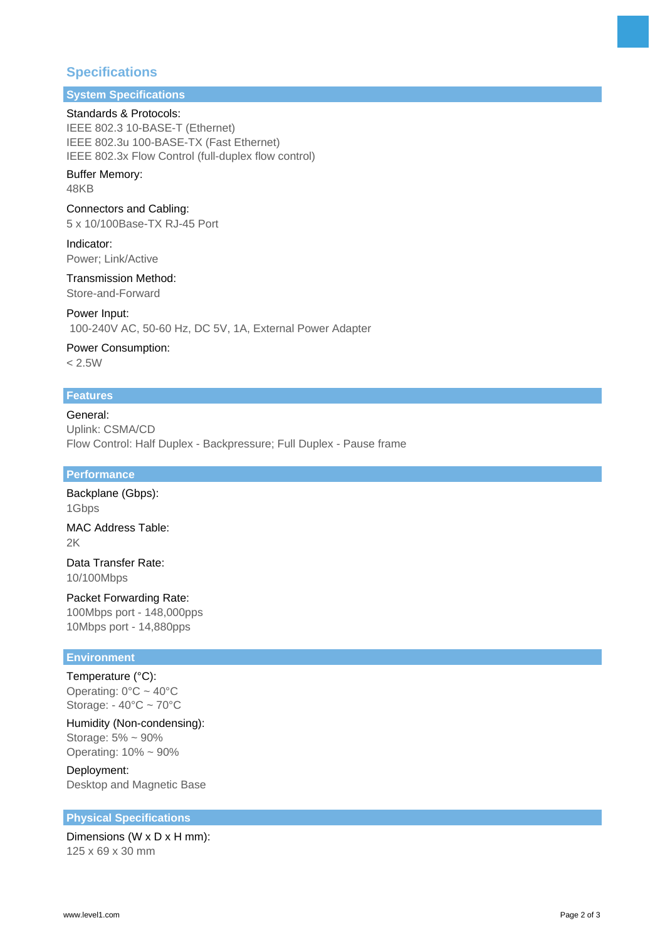## **Specifications**

# **System Specifications**

#### Standards & Protocols:

IEEE 802.3 10-BASE-T (Ethernet) IEEE 802.3u 100-BASE-TX (Fast Ethernet) IEEE 802.3x Flow Control (full-duplex flow control)

#### Buffer Memory: 48KB

#### Connectors and Cabling:

5 x 10/100Base-TX RJ-45 Port

Indicator: Power; Link/Active

#### Transmission Method: Store-and-Forward

Power Input:

100-240V AC, 50-60 Hz, DC 5V, 1A, External Power Adapter

### Power Consumption:

 $< 2.5W$ 

#### **Features**

#### General: Uplink: CSMA/CD Flow Control: Half Duplex - Backpressure; Full Duplex - Pause frame

#### **Performance**

Backplane (Gbps): 1Gbps MAC Address Table: 2K

Data Transfer Rate: 10/100Mbps

## Packet Forwarding Rate:

100Mbps port - 148,000pps 10Mbps port - 14,880pps

### **Environment**

Temperature (°C): Operating:  $0^{\circ}$ C ~ 40°C Storage: - 40°C ~ 70°C

Humidity (Non-condensing): Storage: 5% ~ 90% Operating: 10% ~ 90%

Deployment: Desktop and Magnetic Base

#### **Physical Specifications**

Dimensions (W x D x H mm): 125 x 69 x 30 mm